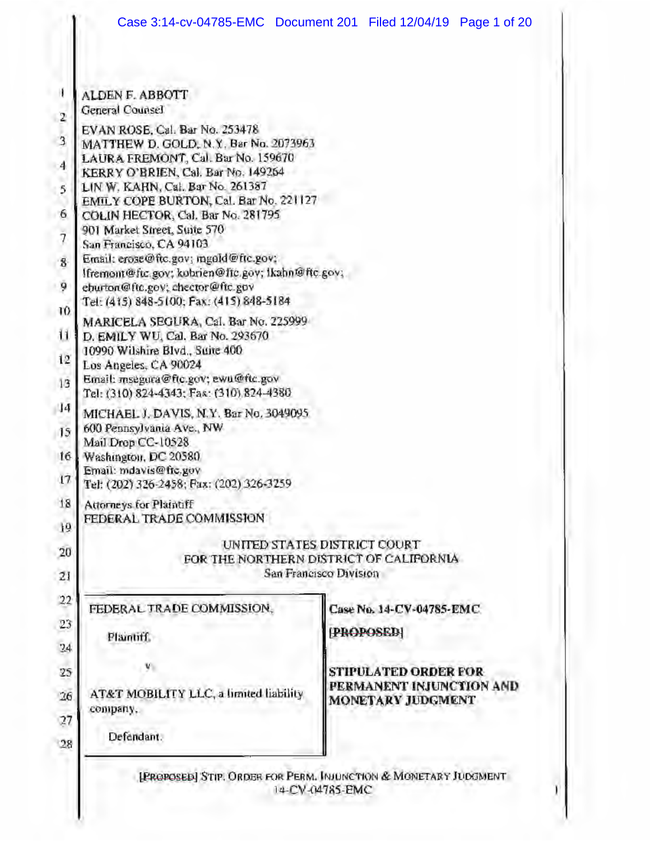|                                        | Case 3:14-cv-04785-EMC  Document 201  Filed 12/04/19  Page 1 of 20                                                                |                              |                          |  |  |  |  |  |  |
|----------------------------------------|-----------------------------------------------------------------------------------------------------------------------------------|------------------------------|--------------------------|--|--|--|--|--|--|
|                                        |                                                                                                                                   |                              |                          |  |  |  |  |  |  |
| $\mathbf{I}$                           | ALDEN F. ABBOTT                                                                                                                   |                              |                          |  |  |  |  |  |  |
| $\overline{2}$                         | General Counsel                                                                                                                   |                              |                          |  |  |  |  |  |  |
| $\overline{3}$<br>÷.<br>$\overline{A}$ | EVAN ROSE, Cal. Bar No. 253478<br>MATTHEW D. GOLD, N.Y. Bar No. 2073963<br>LAURA FREMONT, Cal. Bar No. 159670                     |                              |                          |  |  |  |  |  |  |
| k<br>5                                 | KERRY O'BRIEN, Cal. Bar No. 149264<br>LIN W. KAHN, Cal. Bar No. 261387                                                            |                              |                          |  |  |  |  |  |  |
|                                        | EMILY COPE BURTON, Cal. Bar No. 221127                                                                                            |                              |                          |  |  |  |  |  |  |
| 6                                      | COLIN HECTOR, Cal. Bar No. 281795                                                                                                 |                              |                          |  |  |  |  |  |  |
| $\dot{7}$                              | 901 Market Street, Suite 570<br>San Francisco, CA 94103                                                                           |                              |                          |  |  |  |  |  |  |
| 8                                      | Email: erose@ftc.gov; mgold@ftc.gov;                                                                                              |                              |                          |  |  |  |  |  |  |
| 9                                      | Ifremont@ftc.gov; kobrien@ftc.gov; Ikahn@ftc.gov;<br>eburton@ftc.gov; chector@ftc.gov<br>Tel: (415) 848-5100; Fax: (415) 848-5184 |                              |                          |  |  |  |  |  |  |
| 10                                     |                                                                                                                                   |                              |                          |  |  |  |  |  |  |
| ū                                      | MARICELA SEGURA, Cal. Bar No. 225999<br>D. EMILY WU, Cal. Bar No. 293670                                                          |                              |                          |  |  |  |  |  |  |
| 12                                     | 10990 Wilshire Blvd., Suite 400<br>Los Angeles, CA 90024                                                                          |                              |                          |  |  |  |  |  |  |
| 13                                     | Email: msegura@ftc.gov; ewu@ftc.gov<br>Tel: (310) 824-4343; Fax: (310) 824-4380                                                   |                              |                          |  |  |  |  |  |  |
| $ 14\rangle$                           | MICHAEL J. DAVIS, N.Y. Bar No. 3049095                                                                                            |                              |                          |  |  |  |  |  |  |
| 15 <sub>15</sub>                       | 600 Pennsylvania Ave., NW<br>Mail Drop CC-10528                                                                                   |                              |                          |  |  |  |  |  |  |
| 16                                     | Washington, DC 20580<br>Email: mdavis@frc.gov                                                                                     |                              |                          |  |  |  |  |  |  |
| 17                                     | Tel: (202) 326-2458; Fax: (202) 326-3259                                                                                          |                              |                          |  |  |  |  |  |  |
| 18                                     | Attorneys for Plaintiff                                                                                                           |                              |                          |  |  |  |  |  |  |
| 19                                     | FEDERAL TRADE COMMISSION                                                                                                          |                              |                          |  |  |  |  |  |  |
|                                        |                                                                                                                                   | UNITED STATES DISTRICT COURT |                          |  |  |  |  |  |  |
| 20                                     | FOR THE NORTHERN DISTRICT OF CALIFORNIA                                                                                           |                              |                          |  |  |  |  |  |  |
| 21                                     |                                                                                                                                   | San Francisco Division       |                          |  |  |  |  |  |  |
| 22                                     | FEDERAL TRADE COMMISSION,                                                                                                         |                              | Case No. 14-CV-04785-EMC |  |  |  |  |  |  |
| 23                                     |                                                                                                                                   |                              |                          |  |  |  |  |  |  |
| 24                                     | Plaintiff.                                                                                                                        | (PROPOSED)                   |                          |  |  |  |  |  |  |
| 25                                     |                                                                                                                                   |                              | STIPULATED ORDER FOR     |  |  |  |  |  |  |
| 26                                     | AT&T MOBILITY LLC, a limited liability                                                                                            |                              | PERMANENT INJUNCTION AND |  |  |  |  |  |  |
| 27                                     | company,                                                                                                                          |                              | <b>MONETARY JUDGMENT</b> |  |  |  |  |  |  |
|                                        | Defendant.                                                                                                                        |                              |                          |  |  |  |  |  |  |
| 28                                     |                                                                                                                                   |                              |                          |  |  |  |  |  |  |

[FROPOSED] STIP, ORDER FOR PERM. INJUNCTION & MONETARY JUDGMENT 14-CV-04785-EMC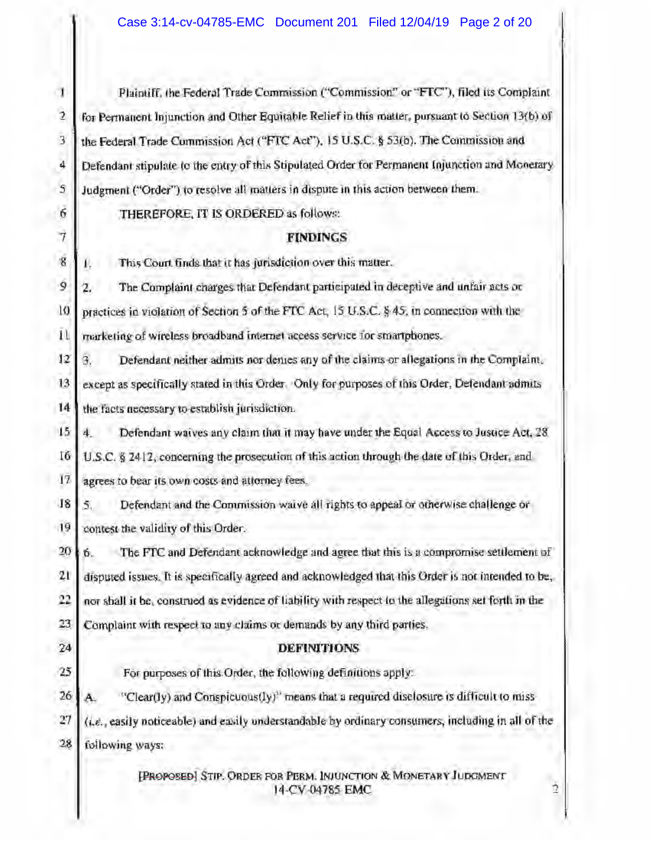| J               | Plaintiff, the Federal Trade Commission ("Commission" or "FTC"), filed its Complaint                 |  |  |  |
|-----------------|------------------------------------------------------------------------------------------------------|--|--|--|
| 2               | for Permanent Injunction and Other Equitable Relief in this matter, pursuant to Section 13(b) of     |  |  |  |
| $\overline{3}$  | the Federal Trade Commission Act ("FTC Act"), 15 U.S.C. § 53(b). The Commission and                  |  |  |  |
| 4               |                                                                                                      |  |  |  |
|                 | Defendant stipulate to the entry of this Stipulated Order for Permanent Injunction and Monerary      |  |  |  |
| 5               | Judgment ("Order") to resolve all matters in dispute in this action between them.                    |  |  |  |
| 6               | THEREFORE, IT IS ORDERED as follows:                                                                 |  |  |  |
| $\overline{7}$  | <b>FINDINGS</b>                                                                                      |  |  |  |
| $\bar{g}$       | This Court finds that it has jurisdiction over this matter.                                          |  |  |  |
| ģ               | The Complaint charges that Defendant participated in deceptive and unfair acts or<br>2.              |  |  |  |
| 10              | practices in violation of Section 5 of the FTC Act, 15 U.S.C. § 45, in connection with the           |  |  |  |
| $\bar{1}$       | marketing of wireless broadband internet access service for smartphones.                             |  |  |  |
| 12              | Defendant neither admits nor demes any of the claims or allegations in the Complaint.<br>В.          |  |  |  |
| 13              | except as specifically stated in this Order. Only for purposes of this Order, Defendant admits       |  |  |  |
| 14              | the facts necessary to establish jurisdiction.                                                       |  |  |  |
| 15 <sub>1</sub> | Defendant waives any claim that it may have under the Equal Access to Justice Act, 28<br>4.          |  |  |  |
| 16              | U.S.C. § 2412, concerning the prosecution of this action through the date of this Order, and         |  |  |  |
| $17\,$          | agrees to bear its own costs and attorney fees.                                                      |  |  |  |
| 18              | Defendant and the Commission waive all rights to appeal or otherwise challenge or<br>5.              |  |  |  |
| 19              | contest the validity of this Order.                                                                  |  |  |  |
| 20 <sub>1</sub> | The FTC and Defendant acknowledge and agree that this is a compromise settlement of<br>6             |  |  |  |
| 21              | disputed issues. It is specifically agreed and acknowledged that this Order is not intended to be,   |  |  |  |
| 22              | nor shall it be, construed as evidence of liability with respect to the allegations set forth in the |  |  |  |
| 23              | Complaint with respect to any claims or demands by any third parties.                                |  |  |  |
| 24              | <b>DEFINITIONS</b>                                                                                   |  |  |  |
| 25              | For purposes of this Order, the following definitions apply:                                         |  |  |  |
| 26              | "Clear(Iy) and Conspicuous(Iy)" means that a required disclosure is difficult to miss<br>Ä.          |  |  |  |
| 27              | (i.e., easily noticeable) and easily understandable by ordinary consumers, including in all of the   |  |  |  |
| 28              | following ways:                                                                                      |  |  |  |
|                 | [PROPOSED] STIP. ORDER FOR PERM. INJUNCTION & MONETARY JUDGMENT<br>Ż<br>14-CV-04785 EMC              |  |  |  |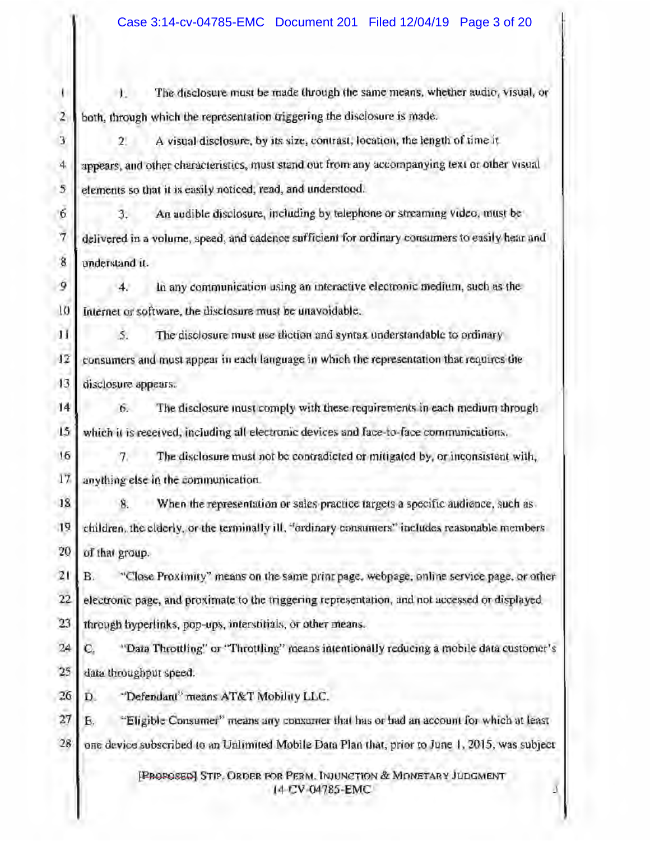$\mathbf{I}$ The disclosure must be made through the same means, whether audio, visual, or  $\mathbf{1}$ 2 both, through which the representation triggering the disclosure is made.  $\overline{\mathbf{3}}$ A visual disclosure, by its size, contrast, location, the length of time it  $2!$  $\frac{1}{2}$ appears, and other characteristics, must stand out from any accompanying text or other visual elements so that it is easily noticed, read, and understood.  $\overline{S}$ -6. An audible disclosure, including by telephone or streaming video, must be 3.  $\overline{7}$ delivered in a volume, speed, and cadence sufficient for ordinary consumers to easily hear and g understand it.  $\mathcal{P}$ In any communication using an interactive electronic medium, such as the  $4.$  $10$ Internet or software, the disclosure must be unavoidable. H  $\mathcal{L}_{\mathcal{L}}$ The disolosure must use diction and syntax understandable to ordinary  $12$ consumers and must appear in each language in which the representation that requires the  $13$ disclosure appears. 14 The disclosure must comply with these requirements in each medium through 6.  $15$ which it is received, including all electronic devices and face-to-face communications. 16 The disclosure must not be contradicted or mitigated by, or inconsistent with,  $7.$ 17 anything else in the communication. 18 When the representation or sales practice targets a specific audience, such as 8. 19 children, the clderly, or the terminally ill, "ordinary consumers" includes reasonable members 20 of that group.  $21$ B. "Close Proximity" means on the same print page, webpage, online service page, or other  $22$ electronic page, and proximate to the triggering representation, and not accessed or displayed 23 through hyperlinks, pop-ups, interstitials, or other means. "Data Throttling" or "Throttling" means intentionally reducing a mobile data customer's 24 c. 25 data throughput speed. 26 "Defendant" means AT&T Mobility LLC. D. 27 "Eligible Consumer" means any consumer that has or had an account for which at least Б. 28 one device subscribed to an Unlimited Mobile Data Plan that, prior to June 1, 2015, was subject [PROPOSED] STIP, ORDER FOR PERM. INJUNCTION & MONETARY JUDGMENT 14 CV 04785-EMC ă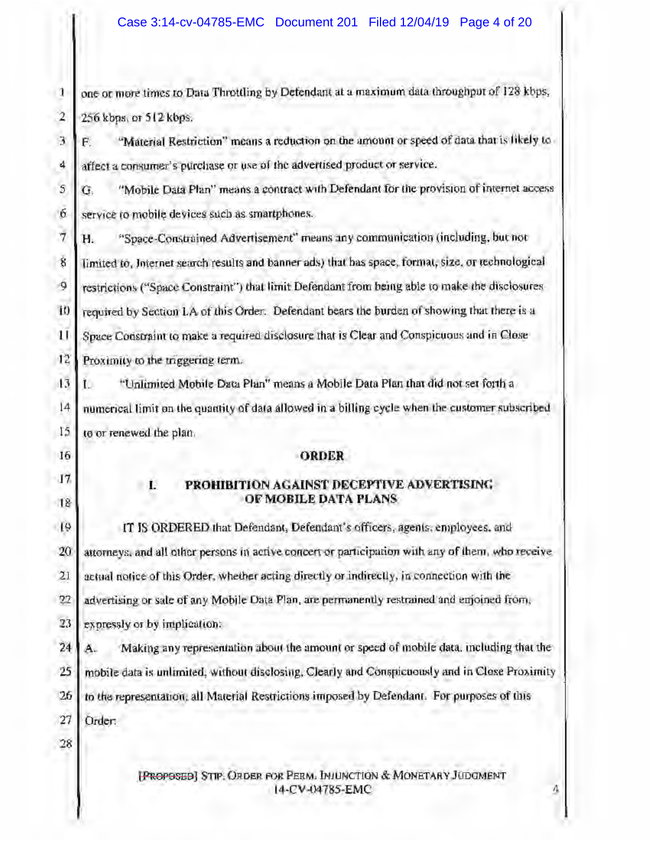one or more times to Data Throttling by Defendant at a maximum data throughput of 128 kbps.  $\mathbf{1}$  $\overline{2}$ 256 kbps, or 512 kbps.

 $\overline{3}$ "Material Restriction" means a reduction on the amount or speed of data that is likely to Ē.  $\frac{1}{2}$ affect a consumer's purchase or use of the advertised product or service.

 $\overline{5}$ "Mobile Data Plan" means a contract with Defendant for the provision of internet access G. -6 service to mobile devices such as smartphones.

 $\overline{7}$ "Space-Constrained Advertisement" means any communication (including, but not Н. Š limited to, Internet search results and banner ads) that has space, format, size, or technological restrictions ("Space Constraint") that limit Defendant from being able to make the disclosures -9 required by Section 1.A of this Order. Defendant bears the burden of showing that there is a  $10$  $\mathbf{H}$ Space Constraint to make a required disclosure that is Clear and Conspicuous and in Close  $12$ Proximity to the triggering term.

 $13$ "Unlimited Mobile Data Plan" means a Mobile Data Plan that did not set forth a ĩ.  $14$ numerical limit on the quantity of data allowed in a billing cycle when the customer subscribed 15 to or renewed the plan.

**ORDER** 

16

17

### 18

- 1.

### PROHIBITION AGAINST DECEPTIVE ADVERTISING OF MOBILE DATA PLANS

 $19$ IT IS ORDERED that Defendant, Defendant's officers, agents, employees, and 20 attorneys, and all other persons in active concert or participation with any of them, who receive actual notice of this Order, whether acting directly or indirectly, in connection with the  $21$ 22 advertising or sale of any Mobile Data Plan, are permanently restrained and enjoined from, 23 expressly or by implication:

24 Making any representation about the amount or speed of mobile data, including that the Ä.  $25$ mobile data is unlimited, without disclosing, Clearly and Conspicuously and in Close Proximity to the representation, all Material Restrictions imposed by Defendant. For purposes of this 26 27 Order:

28

[PROPOSED] STIP. ORDER FOR PERM. INJUNCTION & MONETARY JUDGMENT 14-CV-04785-EMC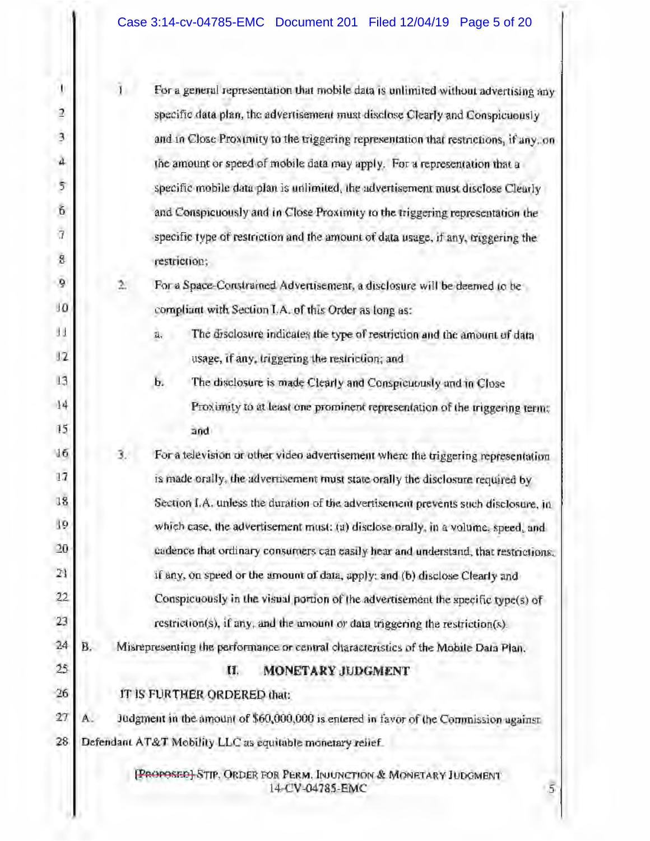| ŧ              |                                                                                  | ī.                                                                                 | For a general representation that mobile data is unlimited without advertising any                   |  |  |  |  |
|----------------|----------------------------------------------------------------------------------|------------------------------------------------------------------------------------|------------------------------------------------------------------------------------------------------|--|--|--|--|
| $\overline{a}$ |                                                                                  |                                                                                    | specific data plan, the advertisement must disclose Clearly and Conspicuously                        |  |  |  |  |
| 3              |                                                                                  |                                                                                    | and in Close Proximity to the triggering representation that restrictions, if any, on                |  |  |  |  |
| $\mathfrak{a}$ |                                                                                  |                                                                                    | the amount or speed of mobile data may apply. For a representation that a                            |  |  |  |  |
| 5              |                                                                                  |                                                                                    | specific mobile data plan is unlimited, the advertisement must disclose Clearly                      |  |  |  |  |
| Ğ              |                                                                                  |                                                                                    | and Conspicuously and in Close Proximity to the triggering representation the                        |  |  |  |  |
| $\overline{1}$ |                                                                                  |                                                                                    | specific type of restriction and the amount of data usage, if any, triggering the                    |  |  |  |  |
| g              |                                                                                  |                                                                                    | restriction;                                                                                         |  |  |  |  |
| 9              |                                                                                  | $\geq$                                                                             | For a Space-Constrained Advertisement, a disclosure will be deemed to be                             |  |  |  |  |
| 10             |                                                                                  |                                                                                    | compliant with Section I.A. of this Order as long as:                                                |  |  |  |  |
| H.             |                                                                                  |                                                                                    | a.<br>The disclosure indicates the type of restriction and the amount of data                        |  |  |  |  |
| 12             |                                                                                  |                                                                                    | usage, if any, triggering the restriction; and                                                       |  |  |  |  |
| 13             |                                                                                  |                                                                                    | ь.<br>The disclosure is made Clearly and Conspicuously and in Close                                  |  |  |  |  |
| 14             |                                                                                  |                                                                                    | Proximity to at least one prominent representation of the triggering term:                           |  |  |  |  |
| 15             |                                                                                  |                                                                                    | and                                                                                                  |  |  |  |  |
| 16             |                                                                                  | з.                                                                                 | For a television or other video advertisement where the triggering representation                    |  |  |  |  |
| 17             |                                                                                  |                                                                                    | is made orally, the advertisement must state orally the disclosure required by                       |  |  |  |  |
| 18             |                                                                                  | Section I.A. unless the duration of the advertisement prevents such disclosure, in |                                                                                                      |  |  |  |  |
| 19             | which case, the advertisement must; (a) disclose orally, in a volume, speed, and |                                                                                    |                                                                                                      |  |  |  |  |
| $20 -$         |                                                                                  |                                                                                    | cadence that ordinary consumers can easily hear and understand, that restrictions.                   |  |  |  |  |
| 21             |                                                                                  |                                                                                    | if any, on speed or the amount of data, apply; and (b) disclose Clearly and                          |  |  |  |  |
| 22             |                                                                                  |                                                                                    | Conspicuously in the visual portion of the advertisement the specific type(s) of                     |  |  |  |  |
| 23             |                                                                                  |                                                                                    | $restriction(s)$ , if any, and the amount or data triggering the restriction $(s)$ .                 |  |  |  |  |
| 24             | В.                                                                               |                                                                                    | Misrepresenting the performance or central characteristics of the Mobile Data Plan.                  |  |  |  |  |
| 25             |                                                                                  |                                                                                    | MONETARY JUDGMENT<br>U.                                                                              |  |  |  |  |
| 26             |                                                                                  |                                                                                    | IT IS FURTHER ORDERED that:                                                                          |  |  |  |  |
| 27             | A.                                                                               |                                                                                    | Judgment in the amount of \$60,000,000 is entered in favor of the Commission against                 |  |  |  |  |
| 28             |                                                                                  |                                                                                    | Defendant AT&T Mobility LLC as equitable monetary relief.                                            |  |  |  |  |
|                |                                                                                  |                                                                                    | [PROPOSED] STIP, ORDER FOR PERM. INJUNCTION & MONETARY IUDGMENT<br>$\overline{5}$<br>14-CV-04785-EMC |  |  |  |  |

H.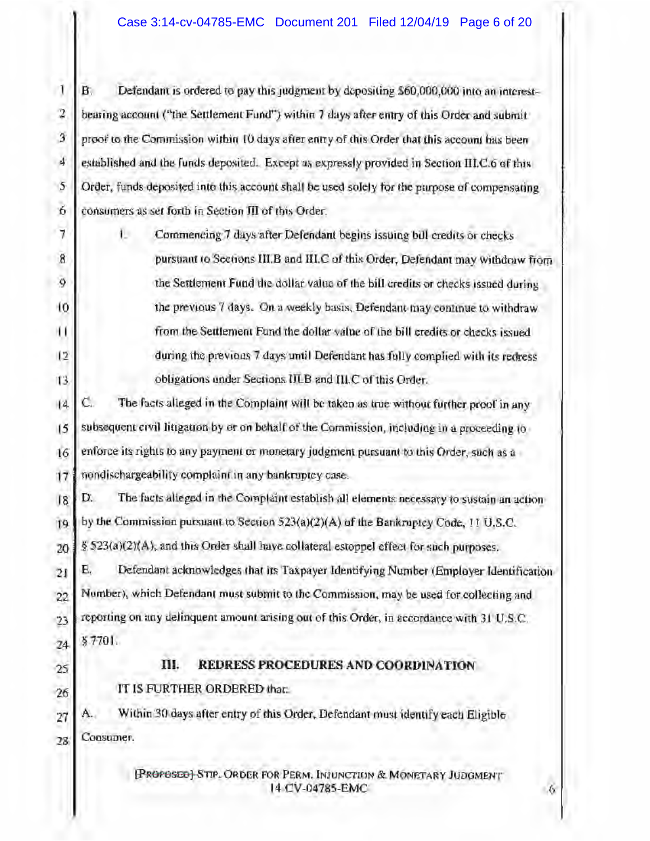$\mathbf{1}$ Defendant is ordered to pay this judgment by depositing \$60,000,000 into an interestв. 2 bearing account ("the Settlement Fund") within 7 days after entry of this Order and submit  $\overline{3}$ proof to the Commission within 10 days after entry of this Order that this account has been 4 established and the funds deposited. Except as expressly provided in Section III.C.6 of this 5 Order, funds deposited into this account shall be used solely for the purpose of compensating 6 consumers as set forth in Section III of this Order.

7 L. Commencing 7 days after Defendant begins issuing bill credits or checks pursuant to Sections III.B and III.C of this Order, Defendant may withdraw from 9 the Settlement Fund the dollar value of the bill credits or checks issued during 10 the previous 7 days. On a weekly basis, Defendant may continue to withdraw ш from the Settlement Fund the dollar value of the bill credits or checks issued  $\overline{12}$ during the previous 7 days until Defendant has fully complied with its redress obligations under Sections IILB and III.C of this Order. 13

C. The facts alleged in the Complaint will be taken as true without further proof in any  $|4$ subsequent civil litigation by or on behalf of the Commission, including in a proceeding to  $15$ enforce its rights to any payment or monetary judgment pursuant to this Order, such as a 16  $17$ nondischargeability complaint in any bankruptcy case.

D. The facts alleged in the Complaint establish all elements necessary to sustain an action  $18$ by the Commission pursuant to Section  $523(a)(2)(A)$  of the Bankruptcy Code, 11 U.S.C. 19 § 523(a)(2)(A), and this Order shall have collateral estoppel effect for such purposes. 20

Е. Defendant acknowledges that its Taxpayer Identifying Number (Employer Identification 21 Number), which Defendant must submit to the Commission, may be used for collecting and 22 reporting on any delinquent amount arising out of this Order, in accordance with 31 U.S.C.  $23$  $$7701.$ 24

25

26

 $\mathbf{g}$ 

### III. REDRESS PROCEDURES AND COORDINATION

IT IS FURTHER ORDERED that:

Within 30 days after entry of this Order, Defendant must identify each Eligible A., 27 Consumer. 28

> [PROPOSED] STIP. ORDER FOR PERM. INJUNCTION & MONETARY JUDGMENT 14 CV-04785-EMC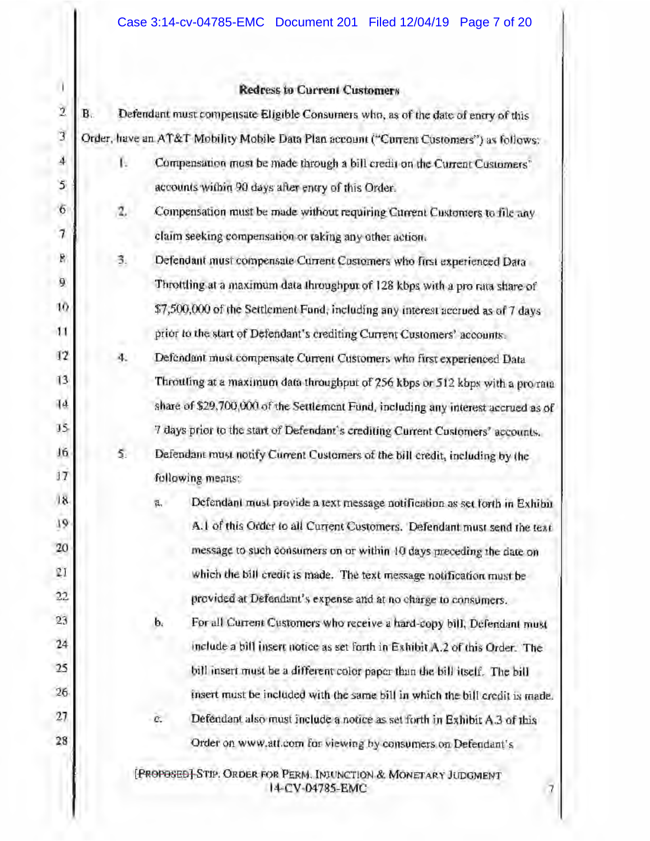### **Redress to Current Customers**

I.

| $\overline{2}$           | B <sub>c</sub><br>Defendant must compensate Eligible Consumers who, as of the date of enery of this |                |                                                                                    |
|--------------------------|-----------------------------------------------------------------------------------------------------|----------------|------------------------------------------------------------------------------------|
| 3                        | Order, have an AT&T Mobility Mobile Data Plan account ("Current Customers") as follows:             |                |                                                                                    |
| 4<br>٠                   | Ŀ.                                                                                                  |                | Compensation must be made through a bill credit on the Current Customers"          |
| 5                        |                                                                                                     |                | accounts within 90 days after entry of this Order.                                 |
| 6                        | 2,                                                                                                  |                | Compensation must be made without requiring Current Customers to file any          |
| $\overline{\mathcal{U}}$ |                                                                                                     |                | claim seeking compensation or taking any other action.                             |
| B                        | 3.                                                                                                  |                | Defendant must compensate Current Customers who first experienced Data             |
| 9                        |                                                                                                     |                | Throttling at a maximum data throughput of 128 kbps with a pro rata share of       |
| 10                       |                                                                                                     |                | \$7,500,000 of the Settlement Fund, including any interest accrued as of 7 days    |
| $\mathbf{11}$            |                                                                                                     |                | prior to the start of Defendant's crediting Current Customers' accounts.           |
| 12                       | 4.                                                                                                  |                | Defendant must compensate Current Customers who first experienced Data             |
| 13                       |                                                                                                     |                | Throuting at a maximum data throughput of 256 kbps or 512 kbps with a prorata      |
| 14                       |                                                                                                     |                | share of \$29,700,000 of the Settlement Fund, including any interest accrued as of |
| $15 -$                   |                                                                                                     |                | 7 days prior to the start of Defendant's crediting Current Customers' accounts.    |
| Jó                       | 5.                                                                                                  |                | Defendant must notify Current Customers of the bill credit, including by the       |
| 17                       |                                                                                                     |                | following means:                                                                   |
| 18                       |                                                                                                     | 含.             | Defendant must provide a text message notification as set forth in Exhibit         |
| 19                       |                                                                                                     |                | A.1 of this Order to all Current Customers. Defendant must send the text           |
| 20                       |                                                                                                     |                | message to such consumers on or within 10 days preceding the date on               |
| ĽI                       |                                                                                                     |                | which the bill credit is made. The text message notification must be               |
| 22                       |                                                                                                     |                | provided at Defendant's expense and at no charge to consumers.                     |
| 23                       |                                                                                                     | $\mathbf{b}_i$ | For all Current Customers who receive a hard-copy bill, Defendant must             |
| 24                       |                                                                                                     |                | include a bill insert notice as set forth in Exhibit A.2 of this Order. The        |
| 25                       |                                                                                                     |                | bill insert must be a different color paper than the bill itself. The bill         |
| 26                       |                                                                                                     |                | insert must be included with the same bill in which the bill credit is made.       |
| 27                       |                                                                                                     | e.             | Defendant also must include a notice as set forth in Exhibit A.3 of this           |
| 28                       |                                                                                                     |                | Order on www.att.com for viewing by consumers on Defendant's                       |
|                          |                                                                                                     |                | [PROPOSED] STIP. ORDER FOR PERM. INJUNCTION & MONETARY JUDGMENT                    |

14-CV-04785-EMC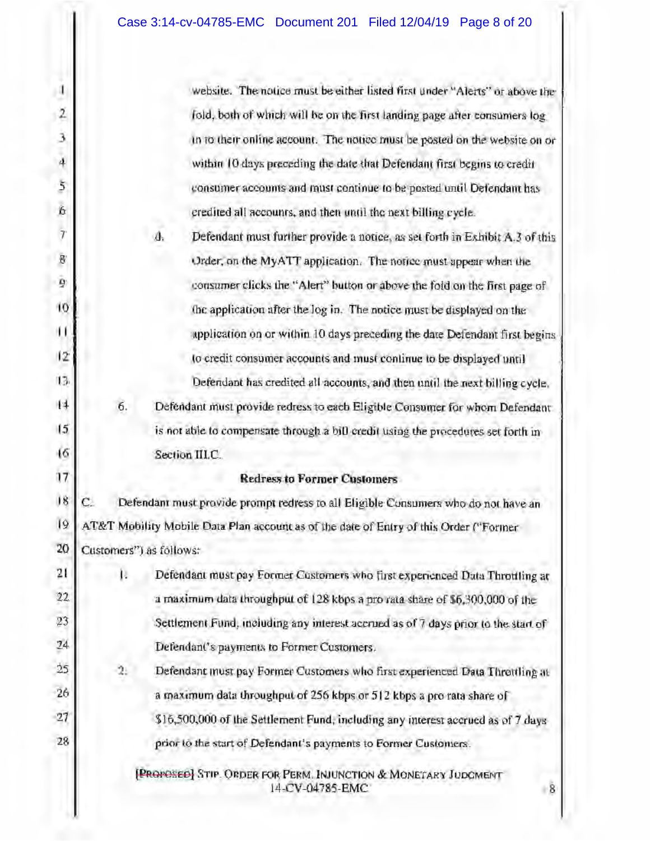| U              |                                                                                    | website. The notice must be either listed first under "Alerts" or above the             |  |  |  |
|----------------|------------------------------------------------------------------------------------|-----------------------------------------------------------------------------------------|--|--|--|
| $\frac{1}{2}$  |                                                                                    | fold, both of which will be on the first landing page after consumers log.              |  |  |  |
| 3              |                                                                                    | in to their online account. The notice must be posted on the website on or              |  |  |  |
| $\frac{1}{4}$  |                                                                                    | within 10 days preceding the date that Defendant first begins to credit                 |  |  |  |
| \$             |                                                                                    | consumer accounts and must continue to be posted until Defendant has                    |  |  |  |
| 6              |                                                                                    | credited all accounts, and then until the next billing cycle.                           |  |  |  |
| $\overline{1}$ |                                                                                    | Defendant must further provide a notice, as set forth in Exhibit A.3 of this<br>đ.      |  |  |  |
| B              |                                                                                    | Order, on the MyATT application. The notice must appear when the                        |  |  |  |
| ĝ              |                                                                                    | consumer clicks the "Alert" button or above the fold on the first page of               |  |  |  |
| 10             |                                                                                    | the application after the log in. The notice must be displayed on the                   |  |  |  |
| ш              |                                                                                    | application on or within 10 days preceding the date Defendant first begins              |  |  |  |
| $\frac{1}{2}$  |                                                                                    | to credit consumer accounts and must continue to be displayed until                     |  |  |  |
| 13.            |                                                                                    | Defendant has credited all accounts, and then until the next billing cycle.             |  |  |  |
| $\sqrt{4}$     | 6.                                                                                 | Defendant must provide redress to each Eligible Consumer for whom Defendant             |  |  |  |
| $\overline{5}$ |                                                                                    | is not able to compensate through a bill credit using the procedures set forth in       |  |  |  |
| $\sqrt{6}$     |                                                                                    | Section III.C.                                                                          |  |  |  |
| 17             |                                                                                    | <b>Redress to Former Customers</b>                                                      |  |  |  |
| 18             | Defendant must provide prompt redress to all Eligible Consumers who do not have an |                                                                                         |  |  |  |
| 19             |                                                                                    | AT&T Mobility Mobile Data Plan account as of the date of Entry of this Order ("Former   |  |  |  |
| 20             |                                                                                    | Customers") as follows:                                                                 |  |  |  |
| 21             | Β                                                                                  | Defendant must pay Former Customers who first experienced Duta Throttling at            |  |  |  |
| 22             |                                                                                    | a maximum data throughput of 128 kbps a pro rata share of \$6,300,000 of the            |  |  |  |
| 23             |                                                                                    | Settlement Fund, including any interest accrued as of 7 days prior to the start of      |  |  |  |
| 24             |                                                                                    | Defendant's payments to Former Customers.                                               |  |  |  |
| 25             | 2.                                                                                 | Defendant must pay Former Customers who first experienced Data Throttling at            |  |  |  |
| 26             |                                                                                    | a maximum data throughput of 256 kbps or 512 kbps a pro rata share of                   |  |  |  |
| 27             |                                                                                    | \$16,500,000 of the Settlement Fund, including any interest accrued as of 7 days        |  |  |  |
| 28             |                                                                                    | prior to the start of Defendant's payments to Former Customers.                         |  |  |  |
|                |                                                                                    | [PROPOSED] STIP. ORDER FOR PERM. INJUNCTION & MONETARY JUDGMENT<br>14-CV-04785-EMC<br>8 |  |  |  |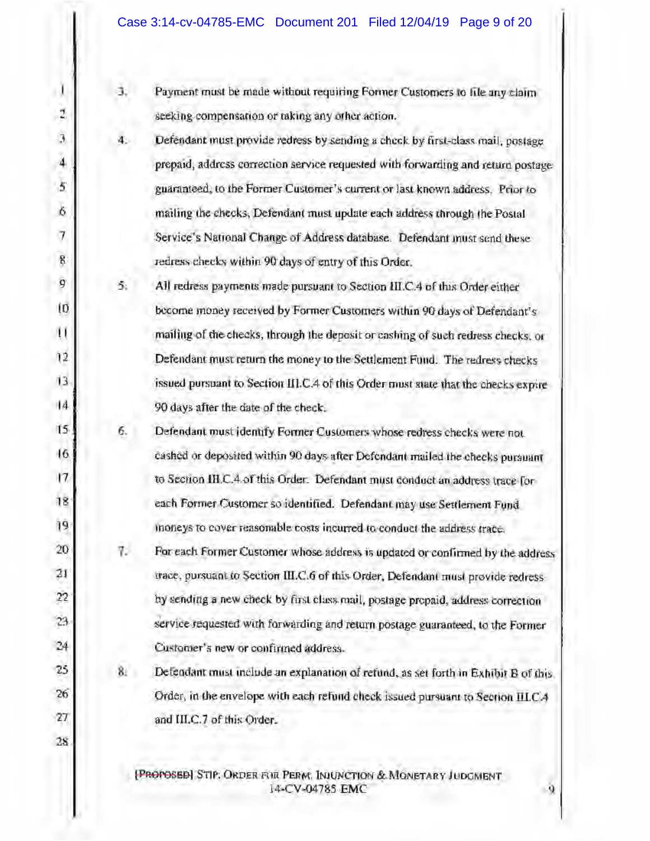۱l Ĵ. Payment must be made without requiring Former Customers to file any claim 2 seeking compensation or taking any other action.  $\bar{\mathfrak{Z}}$ 4. Defendant must provide redress by sending a check by first-class mail, postage 4 prepaid, address correction service requested with forwarding and return postage 5 guaranteed, to the Former Customer's current or last known address. Prior to 6 mailing the checks, Defendant must update each address through the Postal  $\overline{7}$ Service's National Change of Address database. Defendant must send these 8 redress checks within 90 days of entry of this Order. 9 5. All redress payments made pursuant to Section III.C.4 of this Order either IŪ. become money received by Former Customers within 90 days of Defendant's u mailing of the checks, through the deposit or cashing of such redress checks, or  $12$ Defendant must return the money to the Settlement Fund. The redress checks  $13$ issued pursuant to Section III.C.4 of this Order must state that the checks expire  $|4$ 90 days after the date of the check.  $15$ 6. Defendant must identify Former Customers whose redress checks were not.  $6<sub>6</sub>$ cashed or deposited within 90 days after Defendant mailed the checks pursuant  $17$ to Section III.C.4 of this Order. Defendant must conduct an address trace for 18 each Former Customer so identified. Defendant may use Settlement Fund 19 moneys to cover reasonable costs incurred to conduct the address trace. 20 7. For each Former Customer whose address is updated or confirmed by the address 21 trace, pursuant to Section III.C.6 of this Order, Defendant must provide redress  $22$ by sending a new check by first class mail, postage prepaid, address correction 23 service requested with forwarding and return postage guaranteed, to the Former 24 Customer's new or confirmed address. 25  $8.$ Defendant must include an explanation of refund, as set forth in Exhibit B of this 26 Order, in the envelope with each refund check issued pursuant to Section IILCA 27 and III.C.7 of this Order. 28

> [PROPOSED] STIP. ORDER FOR PERM, INJUNCTION & MONETARY JUDGMENT 14-CV-04785 EMC

Q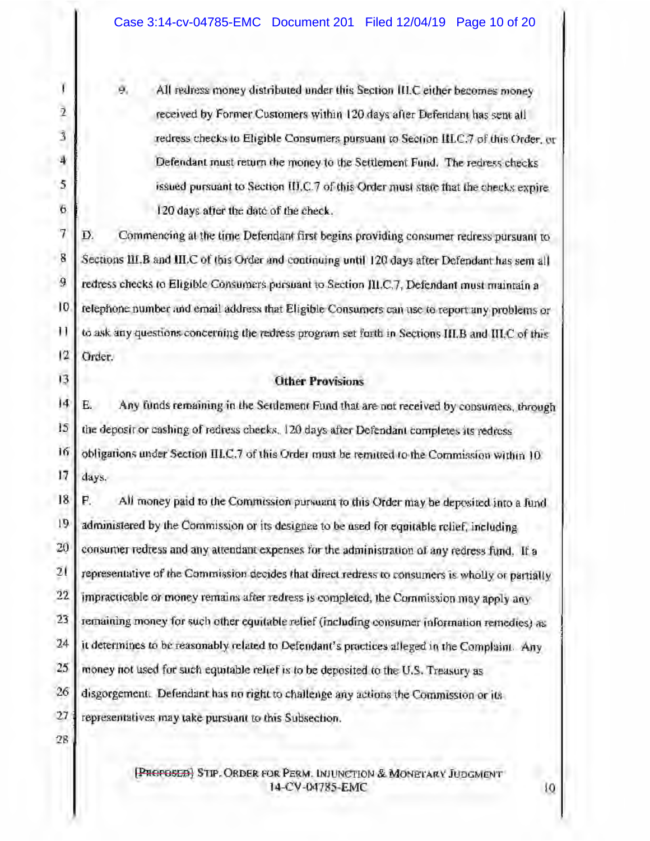ø. All redress money distributed under this Section III.C either becomes money received by Former Customers within 120 days after Defendant has sent all redress checks to Eligible Consumers pursuant to Section III.C.7 of this Order, or Defendant must return the money to the Settlement Fund. The redress checks issued pursuant to Section III.C.7 of this Order must state that the checks expire 120 days after the date of the check.

7 Commencing at the time Defendant first begins providing consumer redress pursuant to D.  $\bf 8$ Sections III.B and III.C of this Order and continuing until 120 days after Defendant has sem all 9 redress checks to Eligible Consumers pursuant to Section III.C.7, Defendant must maintain a 10 telephone number and email address that Eligible Consumers can use to report any problems or Н to ask any questions concerning the redress program set forth in Sections III.B and III.C of this  $\overline{12}$ Order.

### **Other Provisions**

J4 E. Any funds remaining in the Settlement Fund that are not received by consumers, through 15 the deposit or cashing of redress checks. 120 days after Defendant completes its redress 16 obligations under Section III.C.7 of this Order must be rematted to the Commission within 10 17 days.

18 P. All money paid to the Commission pursuant to this Order may be deposited into a fund 19 administered by the Commission or its designee to be used for equitable relief, including 20 consumer redress and any attendant expenses for the administration of any redress fund. If a 21 representative of the Commission decides that direct redress to consumers is wholly or partially  $22$ impracticable or money remains after redress is completed, the Commission may apply any 23 remaining money for such other equitable relief (including consumer information remedies) as 24 it determines to be reasonably related to Defendant's practices alleged in the Complaint. Any 25 money not used for such equitable relief is to be deposited to the U.S. Treasury as 26 disgorgement. Defendant has no right to challenge any actions the Commission or its 27 representatives may take pursuant to this Subsection.

28

Ï

 $\overline{2}$ 

 $\overline{3}$ 

4

5

6

13

**[PROPOSED]** STIP. ORDER FOR PERM. INJUNCTION & MONETARY JUDGMENT 14-CV-04785-EMC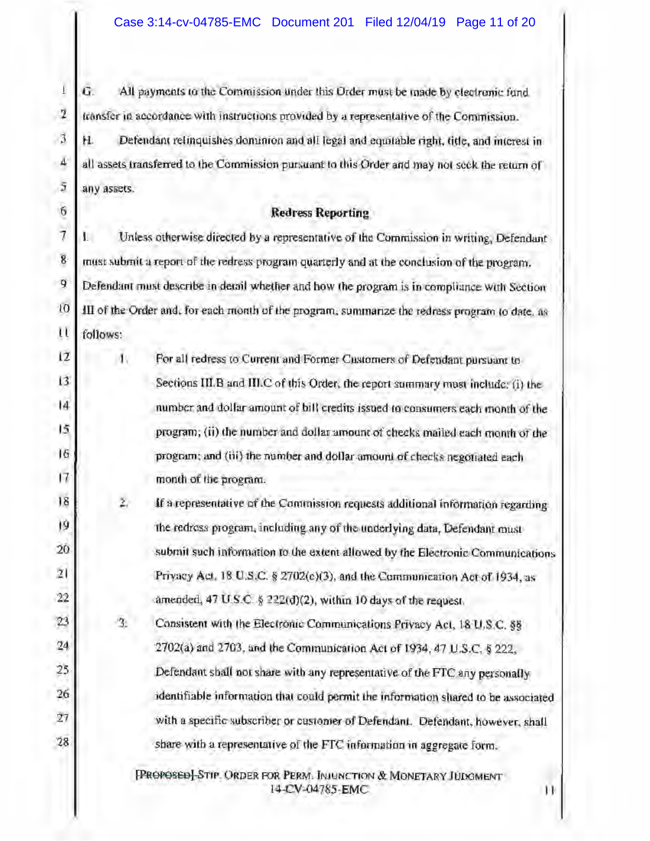$\overline{1}$ G. All payments to the Commission under this Order must be made by electronic fund  $\overline{2}$ transfer in accordance with instructions provided by a representative of the Commission.  $\mathbf{3}$ H. Defendant relinquishes dominion and all legal and equitable right, title, and interest in  $\overline{4}$ all assets transferred to the Commission pursuant to this Order and may not seek the return of  $\tilde{\mathfrak{z}}$ any assets.

 $6$ 

### **Redress Reporting**

 $\overline{7}$ Unless otherwise directed by a representative of the Commission in writing, Defendant  $\overline{8}$ must submit a report of the redress program quarterly and at the conclusion of the program.  $\mathbf{q}$ Defendant must describe in detail whether and how the program is in compliance with Section  $10$ III of the Order and, for each month of the program, summarize the redress program to date, as  $\mathfrak{u}$ follows:

| 12              |    | For all redress to Current and Former Customers of Defendant pursuant to         |
|-----------------|----|----------------------------------------------------------------------------------|
| $\overline{13}$ |    | Sections III.B and III.C of this Order, the report summary must include: (i) the |
| $\overline{14}$ |    | number and dollar amount of bill credits issued to consumers each month of the   |
| 15              |    | program; (ii) the number and dollar amount of checks mailed each month of the    |
| 16              |    | program; and (iii) the number and dollar amount of checks negotiated each        |
| $\overline{17}$ |    | month of the program.                                                            |
| 18              | z. | If a representative of the Commission requests additional information regarding  |

19 the redross program, including any of the underlying data, Defendant must 20 submit such information to the extent allowed by the Electronic Communications 21 Privacy Act, 18 U.S.C. § 2702(c)(3), and the Communication Act of 1934, as  $22$ amended, 47 U.S.C.  $\frac{1}{2}$  222(d)(2), within 10 days of the request.

23 n. Consistent with the Electronic Communications Privacy Act, 18 U.S.C. §§ 24 2702(a) and 2703, and the Communication Act of 1934, 47 U.S.C. § 222, 25 Defendant shall not share with any representative of the FTC any personally 26 identifiable information that could permit the information shared to be associated  $27$ with a specific subscriber or customer of Defendant. Defendant, however, shall 28 share with a representative of the FTC information in aggregate form.

> [PROPOSED] STIP. ORDER FOR PERM. INJUNCTION & MONETARY JUDGMENT 14-CV-04785-EMC

Н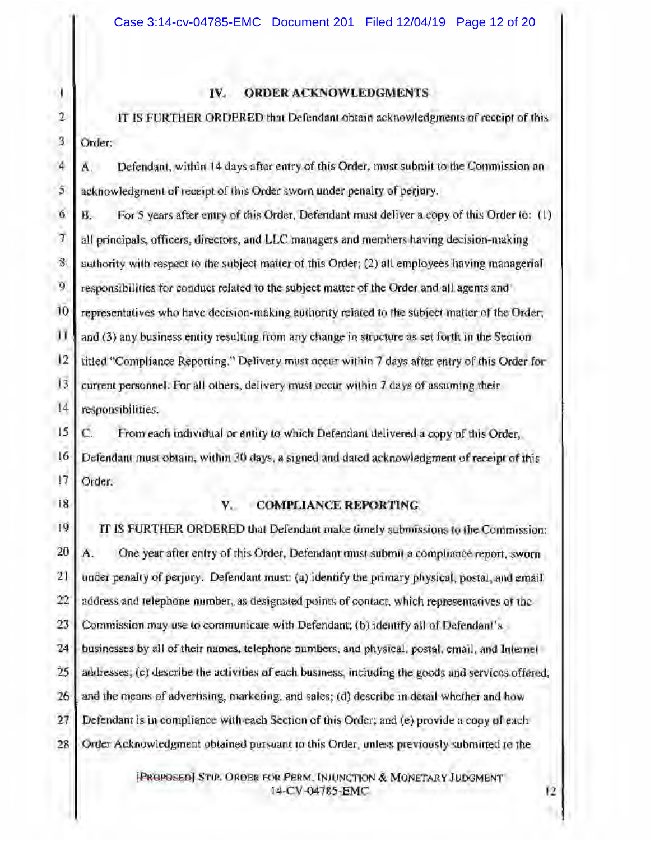### **ORDER ACKNOWLEDGMENTS**  $IV.$

 $\overline{2}$ IT IS FURTHER ORDERED that Defendant obtain acknowledgments of receipt of this 3 Order:

4 Defendant, within 14 days after entry of this Order, must submit to the Commission an А. 5 acknowledgment of receipt of this Order sworn under penalty of perjury.

6 В. For 5 years after entry of this Order, Defendant must deliver a copy of this Order (6: (1)  $\overline{J}$ all principals, officers, directors, and LLC managers and members having decision-making  $\mathcal{B}$ authority with respect to the subject matter of this Order; (2) all employees having managerial 9 responsibilities for conduct related to the subject matter of the Order and all agents and 10 representatives who have decision-making authority related to the subject matter of the Order;  $\mathbf{11}$ and (3) any business entity resulting from any change in structure as set forth in the Section  $12$ titled "Compliance Reporting." Delivery must occur within 7 days after entry of this Order for  $13$ current personnel. For all others, delivery must occur within 7 days of assuming their  $14$ responsibilities.

 $15$ C. From each individual or entity to which Defendant delivered a copy of this Order.  $16$ Defendant must obtain, within 30 days, a signed and dated acknowledgment of receipt of this 17 Order.

18

- 1

#### V. **COMPLIANCE REPORTING**

 $19$ IT IS FURTHER ORDERED that Defendant make timely submissions to the Commission: 20 Ä. One year after entry of this Order, Defendant must submit a compliance report, sworn 21 under penalty of perjury. Defendant must: (a) identify the primary physical, postal, and email 22 address and telephone number, as designated points of contact, which representatives of the 23 Commission may use to communicate with Defendant; (b) identify all of Defendant's 24 businesses by all of their names, telephone numbers, and physical, postal, email, and Internet  $25$ addresses; (c) describe the activities of each business, including the goods and services offered, 26 and the means of advertising, marketing, and sales; (d) describe in detail whether and how 27 Defendant is in compliance with each Section of this Order; and (e) provide a copy of each 28 Order Acknowledgment obtained parsaant to this Order, unless previously submitted to the

> [PROPOSED] STIP. ORDER FOR PERM, INJUNCTION & MONETARY JUDGMENT 14-CV-04785-EMC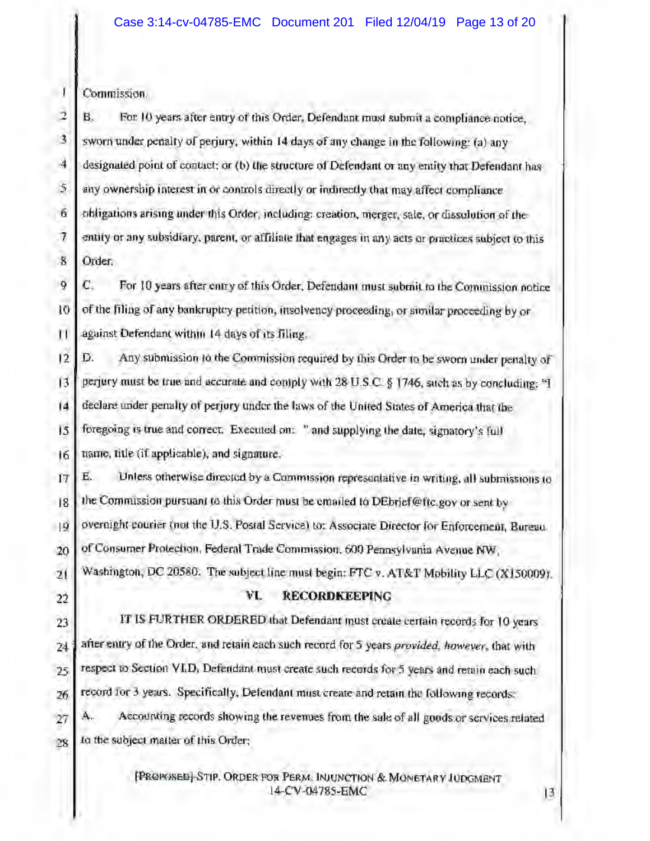$\mathbf{I}$ Commission.

 $\overline{2}$ В. For 10 years after entry of this Order, Defendant must submit a compliance notice,  $\overline{3}$ sworn under penalty of periury, within 14 days of any change in the following: (a) any  $\cdot$ 4 designated point of contact; or (b) the structure of Defendant or any entity that Defendant has 5 any ownership interest in or controls directly or indirectly that may affect compliance. obligations arising under this Order, including: creation, merger, sale, or dissulution of the 6  $\tau$ entity or any subsidiary, parent, or affiliate that engages in any acts or practices subject to this  $\mathbf{g}$ Order.

 $\mathbf{Q}$ C. For 10 years after entry of this Order, Defendant must submit to the Commission notice 10 of the filing of any bankruptcy petition, insolvency proceeding, or similar proceeding by or Ħ against Defendant within 14 days of its filing.

Any submission to the Commission required by this Order to be sworn under penalty of D.  $12$ 13 perjury must be true and accurate and comply with 28 U.S.C. § 1746, such as by concluding: "I declare under penalty of perjury under the laws of the United States of America that the 14 15 foregoing is true and correct. Executed on: " and supplying the date, signatory's full 16 name, title (if applicable), and signature.

 $17$ Е. Unless otherwise directed by a Commission representative in writing, all submissions to the Commission pursuant to this Order must be emailed to DEbrief@ftc.gov or sent by 18 overnight courier (not the U.S. Postal Service) to: Associate Director for Enforcement, Bureau.  $|9$ of Consumer Protection, Federal Trade Commission, 600 Pennsylvania Avenue NW, 20 Washington, DC 20580. The subject line must begin: FTC v. AT&T Mobility LLC (X150009). 21

22

### VI. RECORDKEEPING

IT IS FURTHER ORDERED that Defendant must create certain records for 10 years 23 after entry of the Order, and retain each such record for 5 years provided, however, that with 24 respect to Section VI.D, Defendant must create such records for 5 years and retain each such. 25 record for 3 years. Specifically, Defendant must create and retain the following records: 26 Accounting records showing the revenues from the sale of all goods or services related 27 to the subject matter of this Order; 28

> [PROPOSED] STIP. ORDER FOR PERM. INJUNCTION & MONETARY IUDGMENT 14-CV-04785-EMC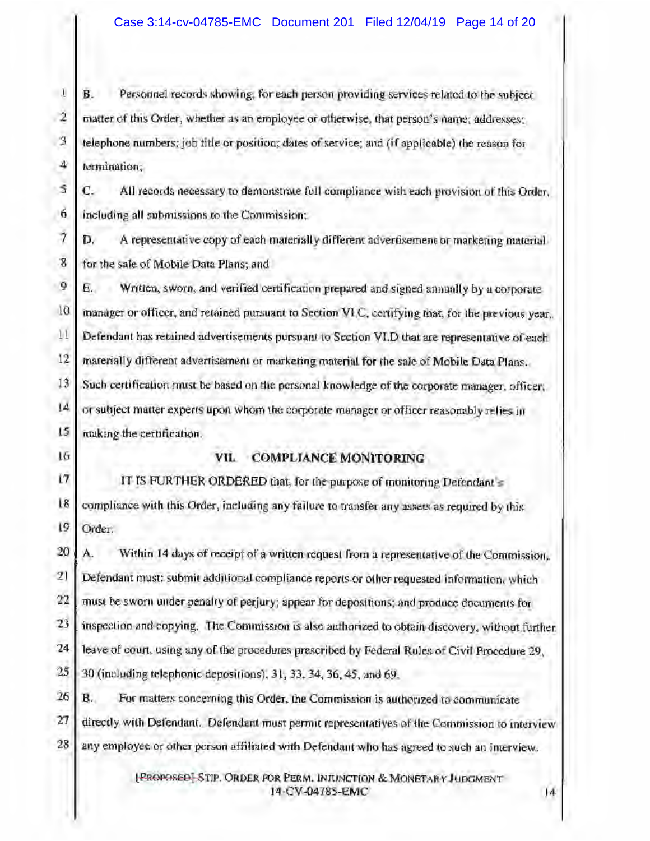Personnel records showing; for each person providing services related to the subject  $\Box$ В.  $\overline{2}$ matter of this Order, whether as an employee or otherwise, that person's name; addresses;  $\overline{3}$ telephone numbers; job title or position; dates of service; and (if applicable) the reason for 4 termination:

S C. All records necessary to demonstrate full compliance with each provision of this Order. -6. including all submissions to the Commission:

 $\overline{\tau}$ D. A representative copy of each materially different advertisement or marketing material  $\mathbf{g}$ for the sale of Mobile Data Plans; and

9 Written, sworn, and verified certification prepared and signed annually by a corporate Е.  $10$ manager or officer, and retained pursuant to Section VI.C, certifying that, for the previous year.  $11$ Defendant has retained advertisements pursuant to Section VI.D that are representative of each  $12$ materially different advertisement or marketing material for the sale of Mobile Data Plans. 13 Such certification must be based on the personal knowledge of the corporate manager, officer, IĀ or subject matter experts upon whom the corporate manager or officer reasonably relies in IS. making the certification.

16

### VII. COMPLIANCE MONITORING

17 IT IS FURTHER ORDERED that, for the purpose of monitoring Defendant's 18 compliance with this Order, including any failure to transfer any assets as required by this 19 Order:

20 A. Within 14 days of receipt of a written request from a representative of the Commission, 21 Defendant must: submit additional compliance reports or other requested information, which 22 must be sworn under penalty of perjury; appear for depositions; and produce documents for 23 inspection and copying. The Commission is also authorized to obtain discovery, without further. 24 leave of court, using any of the procedures prescribed by Federal Rules of Civil Procedure 29, 25 30 (including telephonic depositions), 31, 33, 34, 36, 45, and 69. 26 в. For matters concerning this Order, the Commission is authorized to communicate 27 directly with Defendant. Defendant must permit representatives of the Commission to interview 28 any employee or other person affiliated with Defendant who has agreed to such an interview.

> [PROPOSED] STIP. ORDER FOR PERM. INJUNCTION & MONETARY JUDGMENT 14-CV-04785-EMC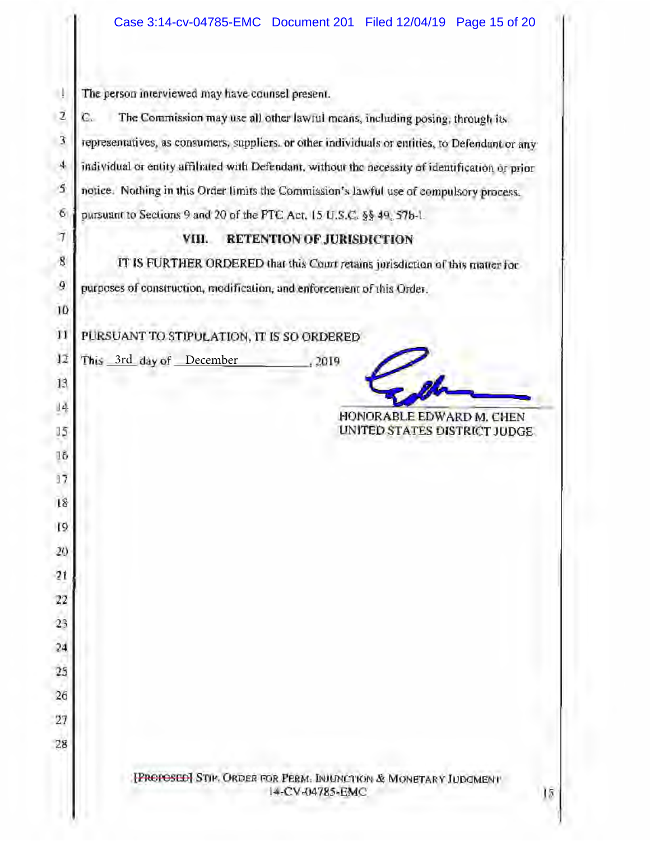| -1             | The person interviewed may have counsel present.                                                 |  |  |  |  |  |
|----------------|--------------------------------------------------------------------------------------------------|--|--|--|--|--|
| $\mathbf{2}$   | The Commission may use all other lawful means, including posing, through its<br>C.               |  |  |  |  |  |
| 3              | representatives, as consumers, suppliers, or other individuals or entities, to Defendant or any  |  |  |  |  |  |
| 4              | individual or entity affiliated with Defendant, without the necessity of identification or prior |  |  |  |  |  |
| Ś              | notice. Nothing in this Order limits the Commission's lawful use of compulsory process.          |  |  |  |  |  |
| 6              | pursuant to Sections 9 and 20 of the FTC Act, 15 U.S.C. §§ 49, 57b-1.                            |  |  |  |  |  |
| $\tau$         | <b>RETENTION OF JURISDICTION</b><br>VIII.                                                        |  |  |  |  |  |
| $\overline{8}$ | IT IS FURTHER ORDERED that this Court retains jurisdiction of this matter for                    |  |  |  |  |  |
| 9              | purposes of construction, modification, and enforcement of this Order.                           |  |  |  |  |  |
| 10             |                                                                                                  |  |  |  |  |  |
| $_{11}$        | PURSUANT TO STIPULATION, IT IS SO ORDERED                                                        |  |  |  |  |  |
| 12             | This 3rd day of December<br>.2019                                                                |  |  |  |  |  |
| 13             |                                                                                                  |  |  |  |  |  |
| 4              | HONORABLE EDWARD M. CHEN                                                                         |  |  |  |  |  |
| 15             | UNITED STATES DISTRICT JUDGE.                                                                    |  |  |  |  |  |
| 16             |                                                                                                  |  |  |  |  |  |
| 17             |                                                                                                  |  |  |  |  |  |
| 18             |                                                                                                  |  |  |  |  |  |
| 19             |                                                                                                  |  |  |  |  |  |
| 20             |                                                                                                  |  |  |  |  |  |
| 21             |                                                                                                  |  |  |  |  |  |
| 22             |                                                                                                  |  |  |  |  |  |
| 23             |                                                                                                  |  |  |  |  |  |
| 24             |                                                                                                  |  |  |  |  |  |
| 25             |                                                                                                  |  |  |  |  |  |
| 26             |                                                                                                  |  |  |  |  |  |
| 27             |                                                                                                  |  |  |  |  |  |
| 28             |                                                                                                  |  |  |  |  |  |
|                | [PROPOSED] STIM. ORDER FOR PERM. INJUNCTION & MONETARY JUDGMENT<br>14-CV-04785-EMC<br>18         |  |  |  |  |  |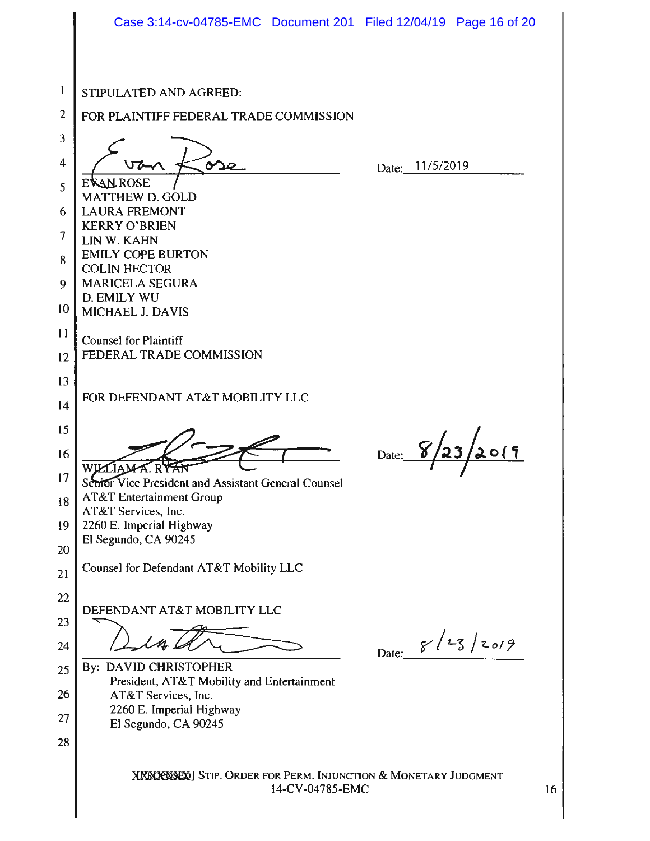|    | Case 3:14-cv-04785-EMC Document 201 Filed 12/04/19 Page 16 of 20                  |                 |                   |    |  |  |  |
|----|-----------------------------------------------------------------------------------|-----------------|-------------------|----|--|--|--|
|    |                                                                                   |                 |                   |    |  |  |  |
| 1  | STIPULATED AND AGREED:                                                            |                 |                   |    |  |  |  |
| 2  | FOR PLAINTIFF FEDERAL TRADE COMMISSION                                            |                 |                   |    |  |  |  |
| 3  |                                                                                   |                 |                   |    |  |  |  |
| 4  |                                                                                   | Date: 11/5/2019 |                   |    |  |  |  |
| 5  | <b>AN ROSE</b><br><b>MATTHEW D. GOLD</b>                                          |                 |                   |    |  |  |  |
| 6  | <b>LAURA FREMONT</b>                                                              |                 |                   |    |  |  |  |
| 7  | <b>KERRY O'BRIEN</b><br>LIN W. KAHN                                               |                 |                   |    |  |  |  |
| 8  | <b>EMILY COPE BURTON</b><br><b>COLIN HECTOR</b>                                   |                 |                   |    |  |  |  |
| 9  | <b>MARICELA SEGURA</b>                                                            |                 |                   |    |  |  |  |
| 10 | D. EMILY WU<br><b>MICHAEL J. DAVIS</b>                                            |                 |                   |    |  |  |  |
| 11 | Counsel for Plaintiff                                                             |                 |                   |    |  |  |  |
| 12 | FEDERAL TRADE COMMISSION                                                          |                 |                   |    |  |  |  |
| 13 |                                                                                   |                 |                   |    |  |  |  |
| 14 | FOR DEFENDANT AT&T MOBILITY LLC                                                   |                 |                   |    |  |  |  |
| 15 |                                                                                   |                 |                   |    |  |  |  |
| 16 | Date:                                                                             |                 |                   |    |  |  |  |
| 17 | Semor Vice President and Assistant General Counsel                                |                 |                   |    |  |  |  |
| 18 | <b>AT&amp;T</b> Entertainment Group                                               |                 |                   |    |  |  |  |
| 19 | AT&T Services, Inc.<br>2260 E. Imperial Highway                                   |                 |                   |    |  |  |  |
| 20 | El Segundo, CA 90245                                                              |                 |                   |    |  |  |  |
| 21 | Counsel for Defendant AT&T Mobility LLC                                           |                 |                   |    |  |  |  |
| 22 |                                                                                   |                 |                   |    |  |  |  |
| 23 | DEFENDANT AT&T MOBILITY LLC                                                       |                 |                   |    |  |  |  |
| 24 |                                                                                   |                 | Date: $8/23/2019$ |    |  |  |  |
| 25 | By: DAVID CHRISTOPHER                                                             |                 |                   |    |  |  |  |
| 26 | President, AT&T Mobility and Entertainment<br>AT&T Services, Inc.                 |                 |                   |    |  |  |  |
| 27 | 2260 E. Imperial Highway<br>El Segundo, CA 90245                                  |                 |                   |    |  |  |  |
| 28 |                                                                                   |                 |                   |    |  |  |  |
|    | XRROPOSED STIP. ORDER FOR PERM. INJUNCTION & MONETARY JUDGMENT<br>14-CV-04785-EMC |                 |                   | 16 |  |  |  |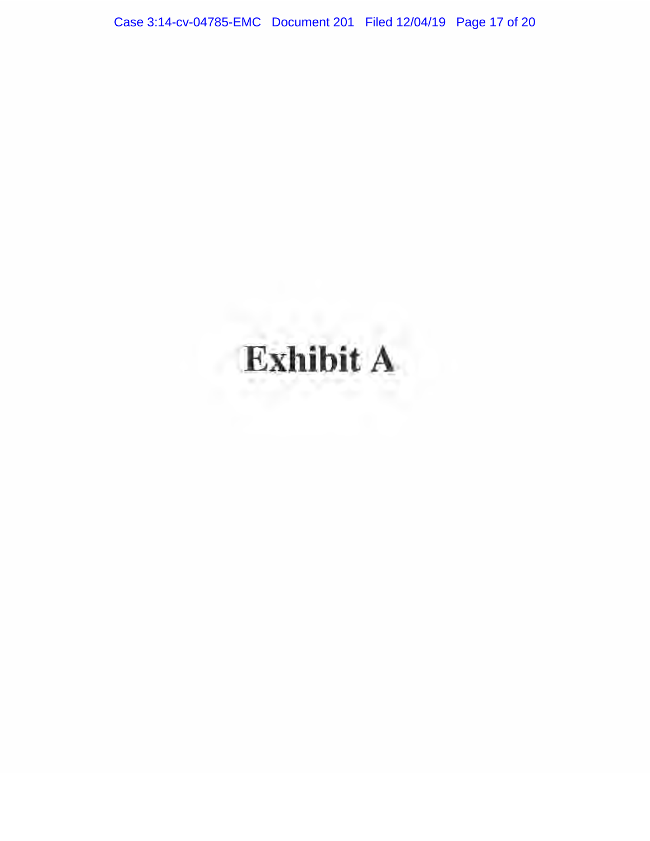Case 3:14-cv-04785-EMC Document 201 Filed 12/04/19 Page 17 of 20

# Exhibit A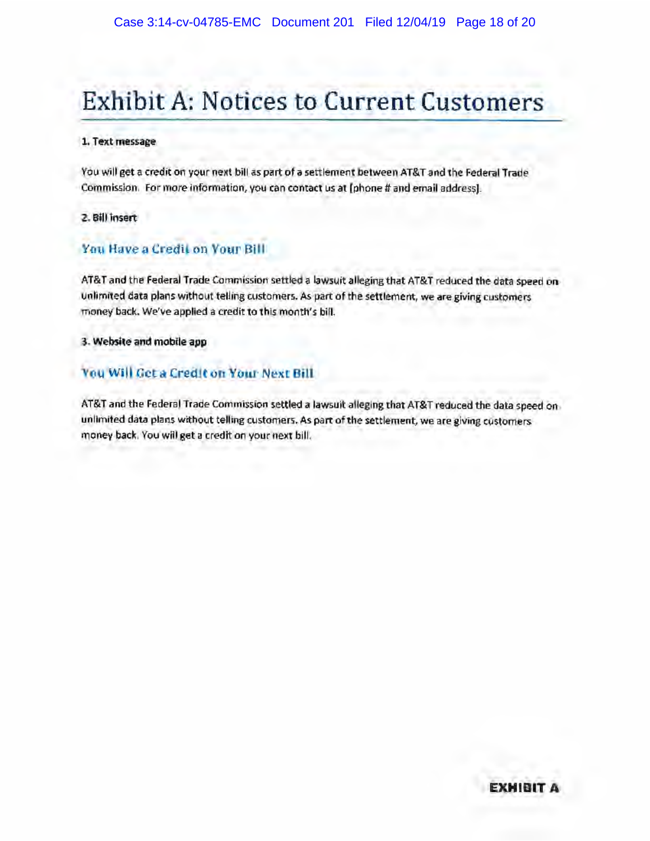## **Exhibit A: Notices to Current Customers**

### 1. Text message

You will get a credit on your next bill as part of a settlement between AT&T and the Federal Trade Commission. For more information, you can contact us at (phone # and email address).

### 2. Bill insert

### You Have a Credit on Your Bill

AT&T and the Federal Trade Commission settled a lawsuit alleging that AT&T reduced the data speed on unlimited data plans without telling customers. As part of the settlement, we are giving customers money back. We've applied a credit to this month's bill.

### 3. Website and mobile app

### You Will Get a Credit on Your Next Bill

AT&T and the Federal Trade Commission settled a lawsuit alleging that AT&T reduced the data speed on unlimited data plans without telling customers. As part of the settlement, we are giving customers money back. You will get a credit on your next bill.

### EXHIBI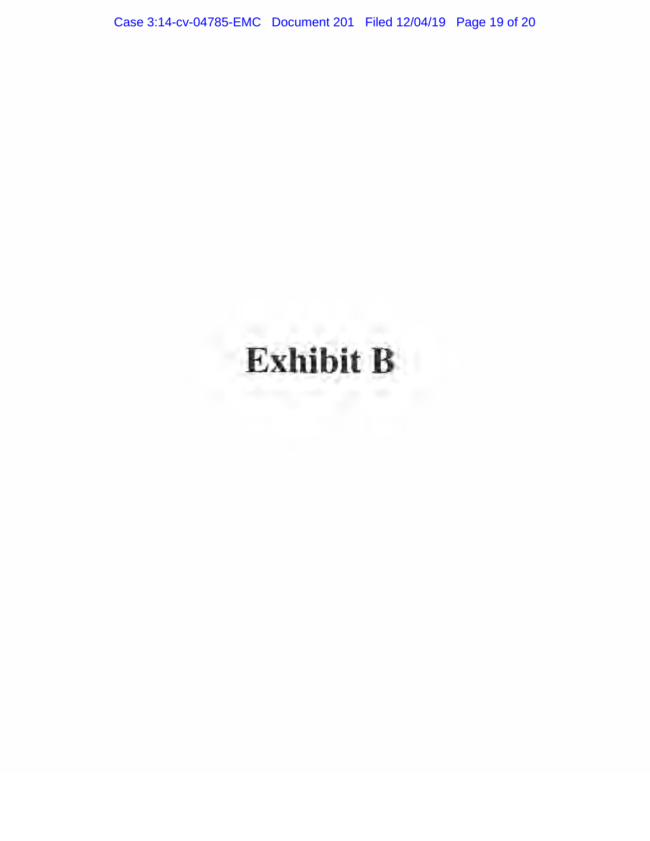Case 3:14-cv-04785-EMC Document 201 Filed 12/04/19 Page 19 of 20

# Exhibit B